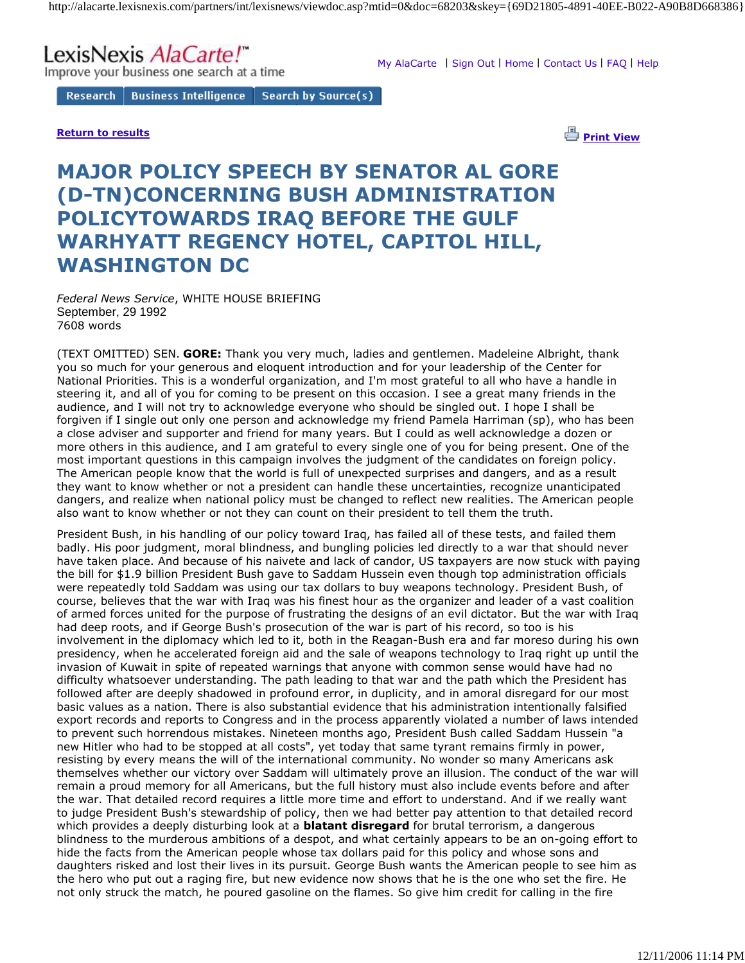http://alacarte.lexisnexis.com/partners/int/lexisnews/viewdoc.asp?mtid=0&doc=68203&skey={69D21805-4891-40EE-B022-A90B8D668386}

## LexisNexis AlaCarte!"

Improve your business one search at a time

My AlaCarte | Sign Out | Home | Contact Us | FAQ | Help

Search by Source(s) **Research Business Intelligence** 

<u>Return to results</u> Print View (1999) and the set of the set of the set of the set of the set of the set of the set of the set of the set of the set of the set of the set of the set of the set of the set of the set of the

## MAJOR POLICY SPEECH BY SENATOR AL GORE (D-TN)CONCERNING BUSH ADMINISTRATION POLICYTOWARDS IRAQ BEFORE THE GULF WARHYATT REGENCY HOTEL, CAPITOL HILL, WASHINGTON DC

Federal News Service, WHITE HOUSE BRIEFING September, 29 1992 7608 words

(TEXT OMITTED) SEN. GORE: Thank you very much, ladies and gentlemen. Madeleine Albright, thank you so much for your generous and eloquent introduction and for your leadership of the Center for National Priorities. This is a wonderful organization, and I'm most grateful to all who have a handle in steering it, and all of you for coming to be present on this occasion. I see a great many friends in the audience, and I will not try to acknowledge everyone who should be singled out. I hope I shall be forgiven if I single out only one person and acknowledge my friend Pamela Harriman (sp), who has been a close adviser and supporter and friend for many years. But I could as well acknowledge a dozen or more others in this audience, and I am grateful to every single one of you for being present. One of the most important questions in this campaign involves the judgment of the candidates on foreign policy. The American people know that the world is full of unexpected surprises and dangers, and as a result they want to know whether or not a president can handle these uncertainties, recognize unanticipated dangers, and realize when national policy must be changed to reflect new realities. The American people also want to know whether or not they can count on their president to tell them the truth.

President Bush, in his handling of our policy toward Iraq, has failed all of these tests, and failed them badly. His poor judgment, moral blindness, and bungling policies led directly to a war that should never have taken place. And because of his naivete and lack of candor, US taxpayers are now stuck with paying the bill for \$1.9 billion President Bush gave to Saddam Hussein even though top administration officials were repeatedly told Saddam was using our tax dollars to buy weapons technology. President Bush, of course, believes that the war with Iraq was his finest hour as the organizer and leader of a vast coalition of armed forces united for the purpose of frustrating the designs of an evil dictator. But the war with Iraq had deep roots, and if George Bush's prosecution of the war is part of his record, so too is his involvement in the diplomacy which led to it, both in the Reagan-Bush era and far moreso during his own presidency, when he accelerated foreign aid and the sale of weapons technology to Iraq right up until the invasion of Kuwait in spite of repeated warnings that anyone with common sense would have had no difficulty whatsoever understanding. The path leading to that war and the path which the President has followed after are deeply shadowed in profound error, in duplicity, and in amoral disregard for our most basic values as a nation. There is also substantial evidence that his administration intentionally falsified export records and reports to Congress and in the process apparently violated a number of laws intended to prevent such horrendous mistakes. Nineteen months ago, President Bush called Saddam Hussein "a new Hitler who had to be stopped at all costs", yet today that same tyrant remains firmly in power, resisting by every means the will of the international community. No wonder so many Americans ask themselves whether our victory over Saddam will ultimately prove an illusion. The conduct of the war will remain a proud memory for all Americans, but the full history must also include events before and after the war. That detailed record requires a little more time and effort to understand. And if we really want to judge President Bush's stewardship of policy, then we had better pay attention to that detailed record which provides a deeply disturbing look at a **blatant disregard** for brutal terrorism, a dangerous blindness to the murderous ambitions of a despot, and what certainly appears to be an on-going effort to hide the facts from the American people whose tax dollars paid for this policy and whose sons and daughters risked and lost their lives in its pursuit. George Bush wants the American people to see him as the hero who put out a raging fire, but new evidence now shows that he is the one who set the fire. He not only struck the match, he poured gasoline on the flames. So give him credit for calling in the fire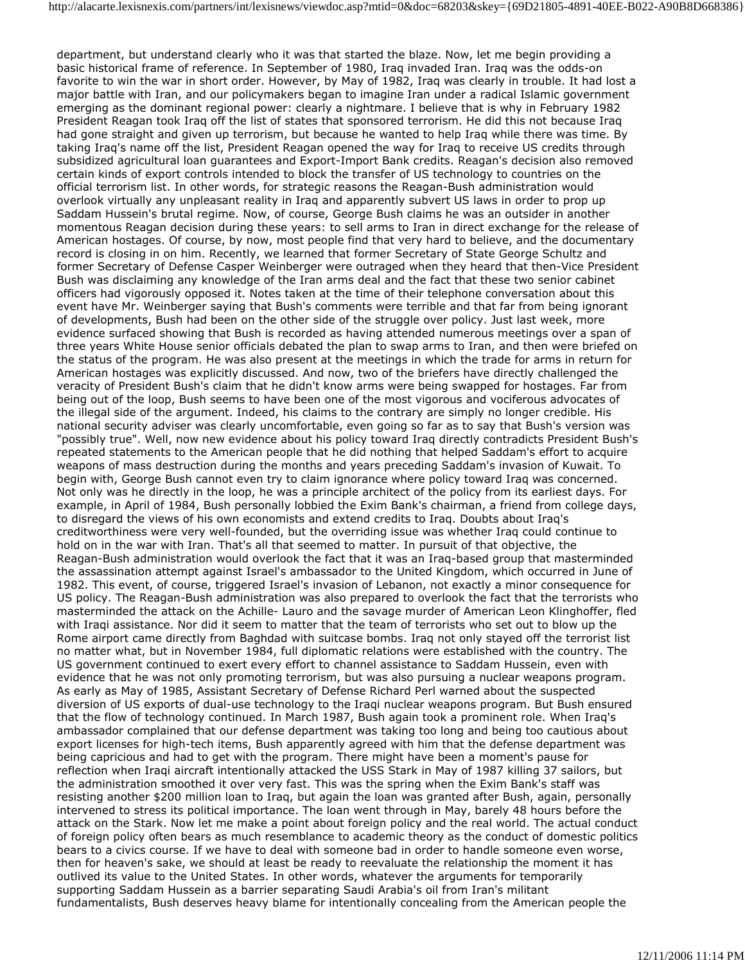department, but understand clearly who it was that started the blaze. Now, let me begin providing a basic historical frame of reference. In September of 1980, Iraq invaded Iran. Iraq was the odds-on favorite to win the war in short order. However, by May of 1982, Iraq was clearly in trouble. It had lost a major battle with Iran, and our policymakers began to imagine Iran under a radical Islamic government emerging as the dominant regional power: clearly a nightmare. I believe that is why in February 1982 President Reagan took Iraq off the list of states that sponsored terrorism. He did this not because Iraq had gone straight and given up terrorism, but because he wanted to help Iraq while there was time. By taking Iraq's name off the list, President Reagan opened the way for Iraq to receive US credits through subsidized agricultural loan guarantees and Export-Import Bank credits. Reagan's decision also removed certain kinds of export controls intended to block the transfer of US technology to countries on the official terrorism list. In other words, for strategic reasons the Reagan-Bush administration would overlook virtually any unpleasant reality in Iraq and apparently subvert US laws in order to prop up Saddam Hussein's brutal regime. Now, of course, George Bush claims he was an outsider in another momentous Reagan decision during these years: to sell arms to Iran in direct exchange for the release of American hostages. Of course, by now, most people find that very hard to believe, and the documentary record is closing in on him. Recently, we learned that former Secretary of State George Schultz and former Secretary of Defense Casper Weinberger were outraged when they heard that then-Vice President Bush was disclaiming any knowledge of the Iran arms deal and the fact that these two senior cabinet officers had vigorously opposed it. Notes taken at the time of their telephone conversation about this event have Mr. Weinberger saying that Bush's comments were terrible and that far from being ignorant of developments, Bush had been on the other side of the struggle over policy. Just last week, more evidence surfaced showing that Bush is recorded as having attended numerous meetings over a span of three years White House senior officials debated the plan to swap arms to Iran, and then were briefed on the status of the program. He was also present at the meetings in which the trade for arms in return for American hostages was explicitly discussed. And now, two of the briefers have directly challenged the veracity of President Bush's claim that he didn't know arms were being swapped for hostages. Far from being out of the loop, Bush seems to have been one of the most vigorous and vociferous advocates of the illegal side of the argument. Indeed, his claims to the contrary are simply no longer credible. His national security adviser was clearly uncomfortable, even going so far as to say that Bush's version was "possibly true". Well, now new evidence about his policy toward Iraq directly contradicts President Bush's repeated statements to the American people that he did nothing that helped Saddam's effort to acquire weapons of mass destruction during the months and years preceding Saddam's invasion of Kuwait. To begin with, George Bush cannot even try to claim ignorance where policy toward Iraq was concerned. Not only was he directly in the loop, he was a principle architect of the policy from its earliest days. For example, in April of 1984, Bush personally lobbied the Exim Bank's chairman, a friend from college days, to disregard the views of his own economists and extend credits to Iraq. Doubts about Iraq's creditworthiness were very well-founded, but the overriding issue was whether Iraq could continue to hold on in the war with Iran. That's all that seemed to matter. In pursuit of that objective, the Reagan-Bush administration would overlook the fact that it was an Iraq-based group that masterminded the assassination attempt against Israel's ambassador to the United Kingdom, which occurred in June of 1982. This event, of course, triggered Israel's invasion of Lebanon, not exactly a minor consequence for US policy. The Reagan-Bush administration was also prepared to overlook the fact that the terrorists who masterminded the attack on the Achille- Lauro and the savage murder of American Leon Klinghoffer, fled with Iraqi assistance. Nor did it seem to matter that the team of terrorists who set out to blow up the Rome airport came directly from Baghdad with suitcase bombs. Iraq not only stayed off the terrorist list no matter what, but in November 1984, full diplomatic relations were established with the country. The US government continued to exert every effort to channel assistance to Saddam Hussein, even with evidence that he was not only promoting terrorism, but was also pursuing a nuclear weapons program. As early as May of 1985, Assistant Secretary of Defense Richard Perl warned about the suspected diversion of US exports of dual-use technology to the Iraqi nuclear weapons program. But Bush ensured that the flow of technology continued. In March 1987, Bush again took a prominent role. When Iraq's ambassador complained that our defense department was taking too long and being too cautious about export licenses for high-tech items, Bush apparently agreed with him that the defense department was being capricious and had to get with the program. There might have been a moment's pause for reflection when Iraqi aircraft intentionally attacked the USS Stark in May of 1987 killing 37 sailors, but the administration smoothed it over very fast. This was the spring when the Exim Bank's staff was resisting another \$200 million loan to Iraq, but again the loan was granted after Bush, again, personally intervened to stress its political importance. The loan went through in May, barely 48 hours before the attack on the Stark. Now let me make a point about foreign policy and the real world. The actual conduct of foreign policy often bears as much resemblance to academic theory as the conduct of domestic politics bears to a civics course. If we have to deal with someone bad in order to handle someone even worse, then for heaven's sake, we should at least be ready to reevaluate the relationship the moment it has outlived its value to the United States. In other words, whatever the arguments for temporarily supporting Saddam Hussein as a barrier separating Saudi Arabia's oil from Iran's militant fundamentalists, Bush deserves heavy blame for intentionally concealing from the American people the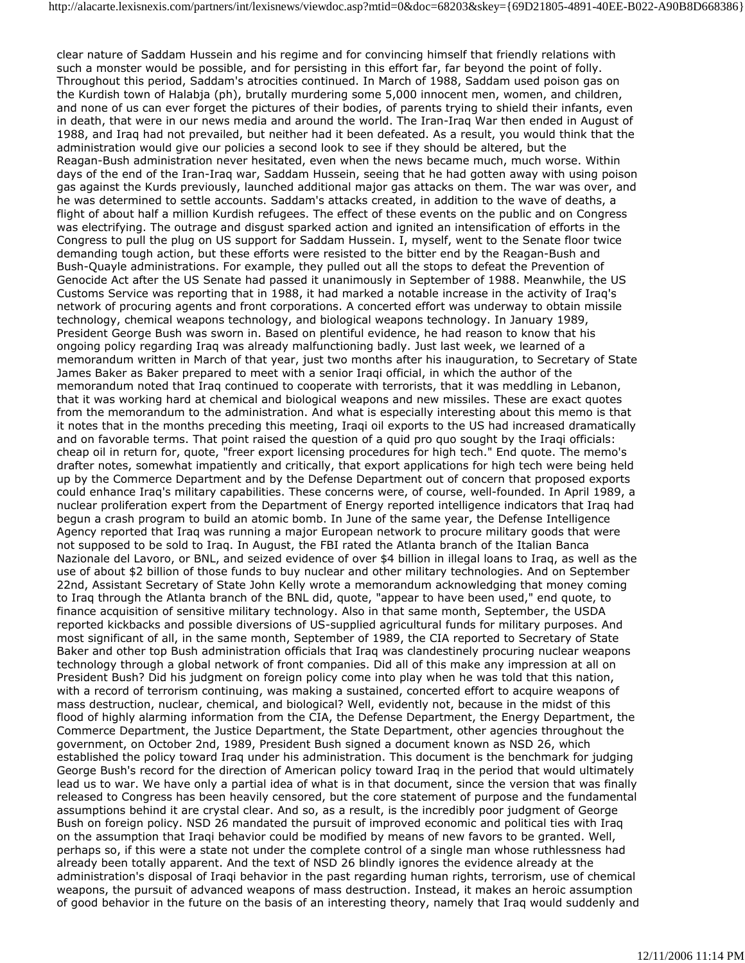clear nature of Saddam Hussein and his regime and for convincing himself that friendly relations with such a monster would be possible, and for persisting in this effort far, far beyond the point of folly. Throughout this period, Saddam's atrocities continued. In March of 1988, Saddam used poison gas on the Kurdish town of Halabja (ph), brutally murdering some 5,000 innocent men, women, and children, and none of us can ever forget the pictures of their bodies, of parents trying to shield their infants, even in death, that were in our news media and around the world. The Iran-Iraq War then ended in August of 1988, and Iraq had not prevailed, but neither had it been defeated. As a result, you would think that the administration would give our policies a second look to see if they should be altered, but the Reagan-Bush administration never hesitated, even when the news became much, much worse. Within days of the end of the Iran-Iraq war, Saddam Hussein, seeing that he had gotten away with using poison gas against the Kurds previously, launched additional major gas attacks on them. The war was over, and he was determined to settle accounts. Saddam's attacks created, in addition to the wave of deaths, a flight of about half a million Kurdish refugees. The effect of these events on the public and on Congress was electrifying. The outrage and disgust sparked action and ignited an intensification of efforts in the Congress to pull the plug on US support for Saddam Hussein. I, myself, went to the Senate floor twice demanding tough action, but these efforts were resisted to the bitter end by the Reagan-Bush and Bush-Quayle administrations. For example, they pulled out all the stops to defeat the Prevention of Genocide Act after the US Senate had passed it unanimously in September of 1988. Meanwhile, the US Customs Service was reporting that in 1988, it had marked a notable increase in the activity of Iraq's network of procuring agents and front corporations. A concerted effort was underway to obtain missile technology, chemical weapons technology, and biological weapons technology. In January 1989, President George Bush was sworn in. Based on plentiful evidence, he had reason to know that his ongoing policy regarding Iraq was already malfunctioning badly. Just last week, we learned of a memorandum written in March of that year, just two months after his inauguration, to Secretary of State James Baker as Baker prepared to meet with a senior Iraqi official, in which the author of the memorandum noted that Iraq continued to cooperate with terrorists, that it was meddling in Lebanon, that it was working hard at chemical and biological weapons and new missiles. These are exact quotes from the memorandum to the administration. And what is especially interesting about this memo is that it notes that in the months preceding this meeting, Iraqi oil exports to the US had increased dramatically and on favorable terms. That point raised the question of a quid pro quo sought by the Iraqi officials: cheap oil in return for, quote, "freer export licensing procedures for high tech." End quote. The memo's drafter notes, somewhat impatiently and critically, that export applications for high tech were being held up by the Commerce Department and by the Defense Department out of concern that proposed exports could enhance Iraq's military capabilities. These concerns were, of course, well-founded. In April 1989, a nuclear proliferation expert from the Department of Energy reported intelligence indicators that Iraq had begun a crash program to build an atomic bomb. In June of the same year, the Defense Intelligence Agency reported that Iraq was running a major European network to procure military goods that were not supposed to be sold to Iraq. In August, the FBI rated the Atlanta branch of the Italian Banca Nazionale del Lavoro, or BNL, and seized evidence of over \$4 billion in illegal loans to Iraq, as well as the use of about \$2 billion of those funds to buy nuclear and other military technologies. And on September 22nd, Assistant Secretary of State John Kelly wrote a memorandum acknowledging that money coming to Iraq through the Atlanta branch of the BNL did, quote, "appear to have been used," end quote, to finance acquisition of sensitive military technology. Also in that same month, September, the USDA reported kickbacks and possible diversions of US-supplied agricultural funds for military purposes. And most significant of all, in the same month, September of 1989, the CIA reported to Secretary of State Baker and other top Bush administration officials that Iraq was clandestinely procuring nuclear weapons technology through a global network of front companies. Did all of this make any impression at all on President Bush? Did his judgment on foreign policy come into play when he was told that this nation, with a record of terrorism continuing, was making a sustained, concerted effort to acquire weapons of mass destruction, nuclear, chemical, and biological? Well, evidently not, because in the midst of this flood of highly alarming information from the CIA, the Defense Department, the Energy Department, the Commerce Department, the Justice Department, the State Department, other agencies throughout the government, on October 2nd, 1989, President Bush signed a document known as NSD 26, which established the policy toward Iraq under his administration. This document is the benchmark for judging George Bush's record for the direction of American policy toward Iraq in the period that would ultimately lead us to war. We have only a partial idea of what is in that document, since the version that was finally released to Congress has been heavily censored, but the core statement of purpose and the fundamental assumptions behind it are crystal clear. And so, as a result, is the incredibly poor judgment of George Bush on foreign policy. NSD 26 mandated the pursuit of improved economic and political ties with Iraq on the assumption that Iraqi behavior could be modified by means of new favors to be granted. Well, perhaps so, if this were a state not under the complete control of a single man whose ruthlessness had already been totally apparent. And the text of NSD 26 blindly ignores the evidence already at the administration's disposal of Iraqi behavior in the past regarding human rights, terrorism, use of chemical weapons, the pursuit of advanced weapons of mass destruction. Instead, it makes an heroic assumption of good behavior in the future on the basis of an interesting theory, namely that Iraq would suddenly and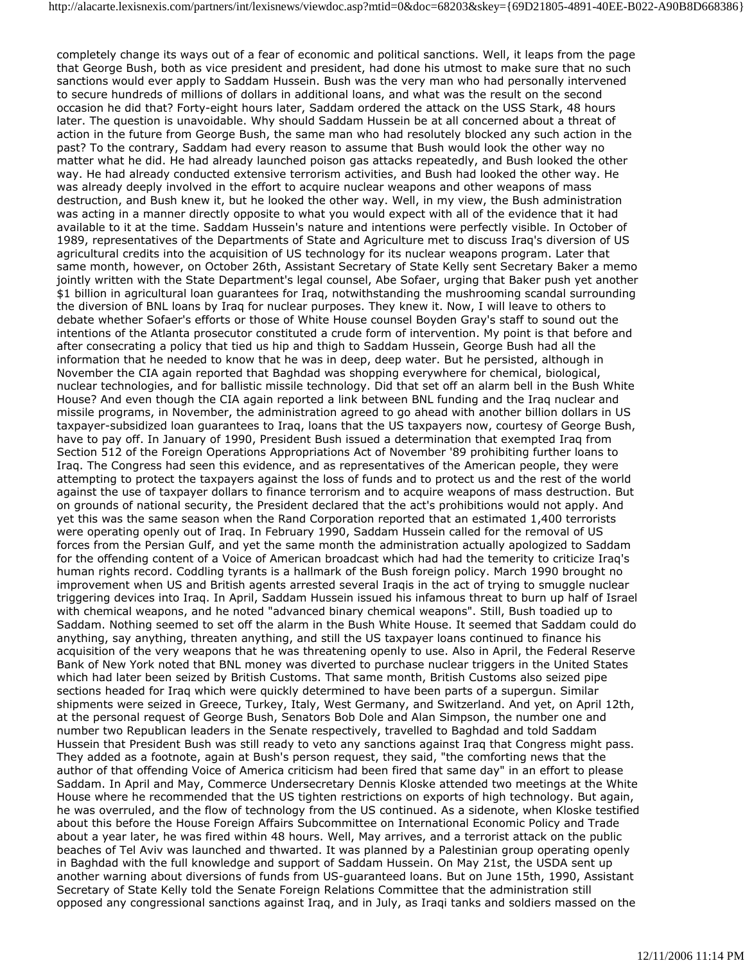completely change its ways out of a fear of economic and political sanctions. Well, it leaps from the page that George Bush, both as vice president and president, had done his utmost to make sure that no such sanctions would ever apply to Saddam Hussein. Bush was the very man who had personally intervened to secure hundreds of millions of dollars in additional loans, and what was the result on the second occasion he did that? Forty-eight hours later, Saddam ordered the attack on the USS Stark, 48 hours later. The question is unavoidable. Why should Saddam Hussein be at all concerned about a threat of action in the future from George Bush, the same man who had resolutely blocked any such action in the past? To the contrary, Saddam had every reason to assume that Bush would look the other way no matter what he did. He had already launched poison gas attacks repeatedly, and Bush looked the other way. He had already conducted extensive terrorism activities, and Bush had looked the other way. He was already deeply involved in the effort to acquire nuclear weapons and other weapons of mass destruction, and Bush knew it, but he looked the other way. Well, in my view, the Bush administration was acting in a manner directly opposite to what you would expect with all of the evidence that it had available to it at the time. Saddam Hussein's nature and intentions were perfectly visible. In October of 1989, representatives of the Departments of State and Agriculture met to discuss Iraq's diversion of US agricultural credits into the acquisition of US technology for its nuclear weapons program. Later that same month, however, on October 26th, Assistant Secretary of State Kelly sent Secretary Baker a memo jointly written with the State Department's legal counsel, Abe Sofaer, urging that Baker push yet another \$1 billion in agricultural loan guarantees for Iraq, notwithstanding the mushrooming scandal surrounding the diversion of BNL loans by Iraq for nuclear purposes. They knew it. Now, I will leave to others to debate whether Sofaer's efforts or those of White House counsel Boyden Gray's staff to sound out the intentions of the Atlanta prosecutor constituted a crude form of intervention. My point is that before and after consecrating a policy that tied us hip and thigh to Saddam Hussein, George Bush had all the information that he needed to know that he was in deep, deep water. But he persisted, although in November the CIA again reported that Baghdad was shopping everywhere for chemical, biological, nuclear technologies, and for ballistic missile technology. Did that set off an alarm bell in the Bush White House? And even though the CIA again reported a link between BNL funding and the Iraq nuclear and missile programs, in November, the administration agreed to go ahead with another billion dollars in US taxpayer-subsidized loan guarantees to Iraq, loans that the US taxpayers now, courtesy of George Bush, have to pay off. In January of 1990, President Bush issued a determination that exempted Iraq from Section 512 of the Foreign Operations Appropriations Act of November '89 prohibiting further loans to Iraq. The Congress had seen this evidence, and as representatives of the American people, they were attempting to protect the taxpayers against the loss of funds and to protect us and the rest of the world against the use of taxpayer dollars to finance terrorism and to acquire weapons of mass destruction. But on grounds of national security, the President declared that the act's prohibitions would not apply. And yet this was the same season when the Rand Corporation reported that an estimated 1,400 terrorists were operating openly out of Iraq. In February 1990, Saddam Hussein called for the removal of US forces from the Persian Gulf, and yet the same month the administration actually apologized to Saddam for the offending content of a Voice of American broadcast which had had the temerity to criticize Iraq's human rights record. Coddling tyrants is a hallmark of the Bush foreign policy. March 1990 brought no improvement when US and British agents arrested several Iraqis in the act of trying to smuggle nuclear triggering devices into Iraq. In April, Saddam Hussein issued his infamous threat to burn up half of Israel with chemical weapons, and he noted "advanced binary chemical weapons". Still, Bush toadied up to Saddam. Nothing seemed to set off the alarm in the Bush White House. It seemed that Saddam could do anything, say anything, threaten anything, and still the US taxpayer loans continued to finance his acquisition of the very weapons that he was threatening openly to use. Also in April, the Federal Reserve Bank of New York noted that BNL money was diverted to purchase nuclear triggers in the United States which had later been seized by British Customs. That same month, British Customs also seized pipe sections headed for Iraq which were quickly determined to have been parts of a supergun. Similar shipments were seized in Greece, Turkey, Italy, West Germany, and Switzerland. And yet, on April 12th, at the personal request of George Bush, Senators Bob Dole and Alan Simpson, the number one and number two Republican leaders in the Senate respectively, travelled to Baghdad and told Saddam Hussein that President Bush was still ready to veto any sanctions against Iraq that Congress might pass. They added as a footnote, again at Bush's person request, they said, "the comforting news that the author of that offending Voice of America criticism had been fired that same day" in an effort to please Saddam. In April and May, Commerce Undersecretary Dennis Kloske attended two meetings at the White House where he recommended that the US tighten restrictions on exports of high technology. But again, he was overruled, and the flow of technology from the US continued. As a sidenote, when Kloske testified about this before the House Foreign Affairs Subcommittee on International Economic Policy and Trade about a year later, he was fired within 48 hours. Well, May arrives, and a terrorist attack on the public beaches of Tel Aviv was launched and thwarted. It was planned by a Palestinian group operating openly in Baghdad with the full knowledge and support of Saddam Hussein. On May 21st, the USDA sent up another warning about diversions of funds from US-guaranteed loans. But on June 15th, 1990, Assistant Secretary of State Kelly told the Senate Foreign Relations Committee that the administration still opposed any congressional sanctions against Iraq, and in July, as Iraqi tanks and soldiers massed on the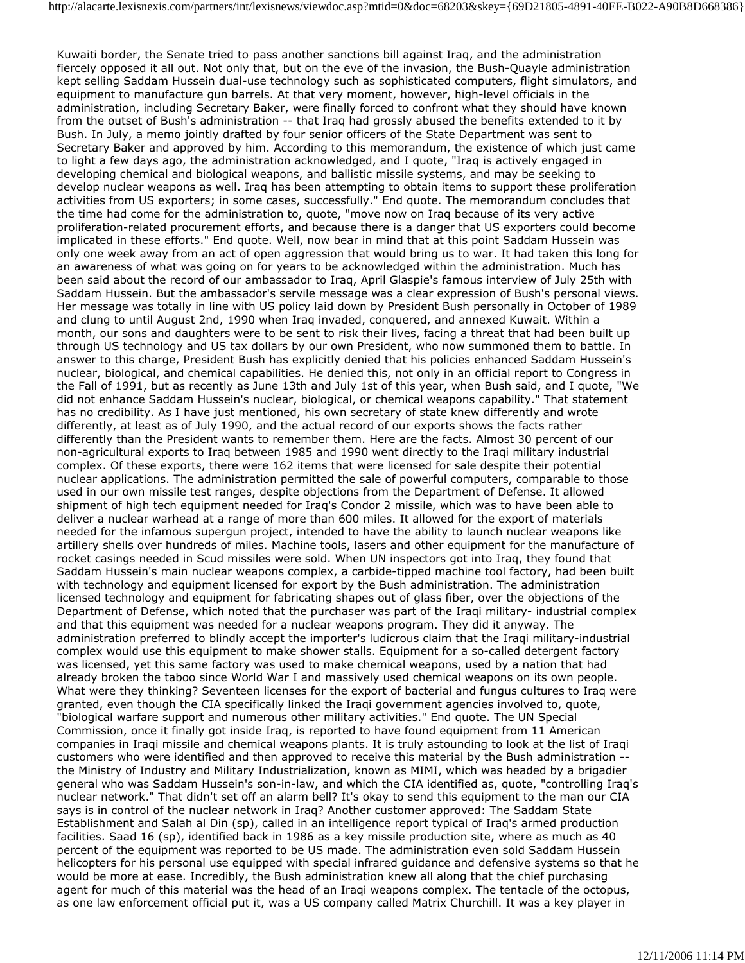Kuwaiti border, the Senate tried to pass another sanctions bill against Iraq, and the administration fiercely opposed it all out. Not only that, but on the eve of the invasion, the Bush-Quayle administration kept selling Saddam Hussein dual-use technology such as sophisticated computers, flight simulators, and equipment to manufacture gun barrels. At that very moment, however, high-level officials in the administration, including Secretary Baker, were finally forced to confront what they should have known from the outset of Bush's administration -- that Iraq had grossly abused the benefits extended to it by Bush. In July, a memo jointly drafted by four senior officers of the State Department was sent to Secretary Baker and approved by him. According to this memorandum, the existence of which just came to light a few days ago, the administration acknowledged, and I quote, "Iraq is actively engaged in developing chemical and biological weapons, and ballistic missile systems, and may be seeking to develop nuclear weapons as well. Iraq has been attempting to obtain items to support these proliferation activities from US exporters; in some cases, successfully." End quote. The memorandum concludes that the time had come for the administration to, quote, "move now on Iraq because of its very active proliferation-related procurement efforts, and because there is a danger that US exporters could become implicated in these efforts." End quote. Well, now bear in mind that at this point Saddam Hussein was only one week away from an act of open aggression that would bring us to war. It had taken this long for an awareness of what was going on for years to be acknowledged within the administration. Much has been said about the record of our ambassador to Iraq, April Glaspie's famous interview of July 25th with Saddam Hussein. But the ambassador's servile message was a clear expression of Bush's personal views. Her message was totally in line with US policy laid down by President Bush personally in October of 1989 and clung to until August 2nd, 1990 when Iraq invaded, conquered, and annexed Kuwait. Within a month, our sons and daughters were to be sent to risk their lives, facing a threat that had been built up through US technology and US tax dollars by our own President, who now summoned them to battle. In answer to this charge, President Bush has explicitly denied that his policies enhanced Saddam Hussein's nuclear, biological, and chemical capabilities. He denied this, not only in an official report to Congress in the Fall of 1991, but as recently as June 13th and July 1st of this year, when Bush said, and I quote, "We did not enhance Saddam Hussein's nuclear, biological, or chemical weapons capability." That statement has no credibility. As I have just mentioned, his own secretary of state knew differently and wrote differently, at least as of July 1990, and the actual record of our exports shows the facts rather differently than the President wants to remember them. Here are the facts. Almost 30 percent of our non-agricultural exports to Iraq between 1985 and 1990 went directly to the Iraqi military industrial complex. Of these exports, there were 162 items that were licensed for sale despite their potential nuclear applications. The administration permitted the sale of powerful computers, comparable to those used in our own missile test ranges, despite objections from the Department of Defense. It allowed shipment of high tech equipment needed for Iraq's Condor 2 missile, which was to have been able to deliver a nuclear warhead at a range of more than 600 miles. It allowed for the export of materials needed for the infamous supergun project, intended to have the ability to launch nuclear weapons like artillery shells over hundreds of miles. Machine tools, lasers and other equipment for the manufacture of rocket casings needed in Scud missiles were sold. When UN inspectors got into Iraq, they found that Saddam Hussein's main nuclear weapons complex, a carbide-tipped machine tool factory, had been built with technology and equipment licensed for export by the Bush administration. The administration licensed technology and equipment for fabricating shapes out of glass fiber, over the objections of the Department of Defense, which noted that the purchaser was part of the Iraqi military- industrial complex and that this equipment was needed for a nuclear weapons program. They did it anyway. The administration preferred to blindly accept the importer's ludicrous claim that the Iraqi military-industrial complex would use this equipment to make shower stalls. Equipment for a so-called detergent factory was licensed, yet this same factory was used to make chemical weapons, used by a nation that had already broken the taboo since World War I and massively used chemical weapons on its own people. What were they thinking? Seventeen licenses for the export of bacterial and fungus cultures to Iraq were granted, even though the CIA specifically linked the Iraqi government agencies involved to, quote, "biological warfare support and numerous other military activities." End quote. The UN Special Commission, once it finally got inside Iraq, is reported to have found equipment from 11 American companies in Iraqi missile and chemical weapons plants. It is truly astounding to look at the list of Iraqi customers who were identified and then approved to receive this material by the Bush administration the Ministry of Industry and Military Industrialization, known as MIMI, which was headed by a brigadier general who was Saddam Hussein's son-in-law, and which the CIA identified as, quote, "controlling Iraq's nuclear network." That didn't set off an alarm bell? It's okay to send this equipment to the man our CIA says is in control of the nuclear network in Iraq? Another customer approved: The Saddam State Establishment and Salah al Din (sp), called in an intelligence report typical of Iraq's armed production facilities. Saad 16 (sp), identified back in 1986 as a key missile production site, where as much as 40 percent of the equipment was reported to be US made. The administration even sold Saddam Hussein helicopters for his personal use equipped with special infrared guidance and defensive systems so that he would be more at ease. Incredibly, the Bush administration knew all along that the chief purchasing agent for much of this material was the head of an Iraqi weapons complex. The tentacle of the octopus, as one law enforcement official put it, was a US company called Matrix Churchill. It was a key player in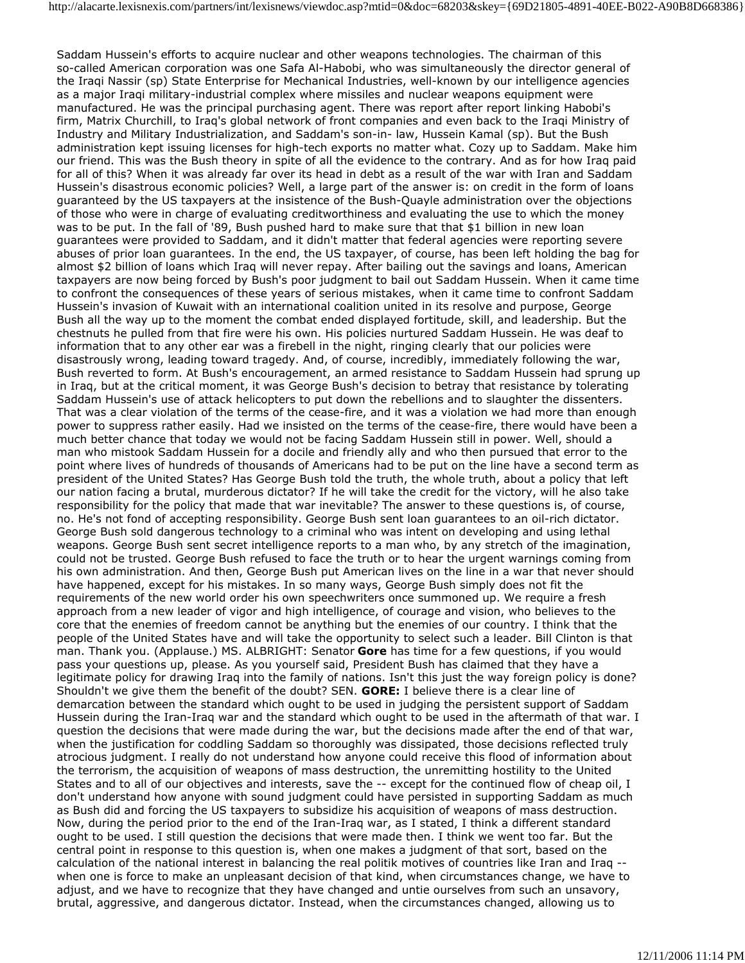Saddam Hussein's efforts to acquire nuclear and other weapons technologies. The chairman of this so-called American corporation was one Safa Al-Habobi, who was simultaneously the director general of the Iraqi Nassir (sp) State Enterprise for Mechanical Industries, well-known by our intelligence agencies as a major Iraqi military-industrial complex where missiles and nuclear weapons equipment were manufactured. He was the principal purchasing agent. There was report after report linking Habobi's firm, Matrix Churchill, to Iraq's global network of front companies and even back to the Iraqi Ministry of Industry and Military Industrialization, and Saddam's son-in- law, Hussein Kamal (sp). But the Bush administration kept issuing licenses for high-tech exports no matter what. Cozy up to Saddam. Make him our friend. This was the Bush theory in spite of all the evidence to the contrary. And as for how Iraq paid for all of this? When it was already far over its head in debt as a result of the war with Iran and Saddam Hussein's disastrous economic policies? Well, a large part of the answer is: on credit in the form of loans guaranteed by the US taxpayers at the insistence of the Bush-Quayle administration over the objections of those who were in charge of evaluating creditworthiness and evaluating the use to which the money was to be put. In the fall of '89, Bush pushed hard to make sure that that \$1 billion in new loan guarantees were provided to Saddam, and it didn't matter that federal agencies were reporting severe abuses of prior loan guarantees. In the end, the US taxpayer, of course, has been left holding the bag for almost \$2 billion of loans which Iraq will never repay. After bailing out the savings and loans, American taxpayers are now being forced by Bush's poor judgment to bail out Saddam Hussein. When it came time to confront the consequences of these years of serious mistakes, when it came time to confront Saddam Hussein's invasion of Kuwait with an international coalition united in its resolve and purpose, George Bush all the way up to the moment the combat ended displayed fortitude, skill, and leadership. But the chestnuts he pulled from that fire were his own. His policies nurtured Saddam Hussein. He was deaf to information that to any other ear was a firebell in the night, ringing clearly that our policies were disastrously wrong, leading toward tragedy. And, of course, incredibly, immediately following the war, Bush reverted to form. At Bush's encouragement, an armed resistance to Saddam Hussein had sprung up in Iraq, but at the critical moment, it was George Bush's decision to betray that resistance by tolerating Saddam Hussein's use of attack helicopters to put down the rebellions and to slaughter the dissenters. That was a clear violation of the terms of the cease-fire, and it was a violation we had more than enough power to suppress rather easily. Had we insisted on the terms of the cease-fire, there would have been a much better chance that today we would not be facing Saddam Hussein still in power. Well, should a man who mistook Saddam Hussein for a docile and friendly ally and who then pursued that error to the point where lives of hundreds of thousands of Americans had to be put on the line have a second term as president of the United States? Has George Bush told the truth, the whole truth, about a policy that left our nation facing a brutal, murderous dictator? If he will take the credit for the victory, will he also take responsibility for the policy that made that war inevitable? The answer to these questions is, of course, no. He's not fond of accepting responsibility. George Bush sent loan guarantees to an oil-rich dictator. George Bush sold dangerous technology to a criminal who was intent on developing and using lethal weapons. George Bush sent secret intelligence reports to a man who, by any stretch of the imagination, could not be trusted. George Bush refused to face the truth or to hear the urgent warnings coming from his own administration. And then, George Bush put American lives on the line in a war that never should have happened, except for his mistakes. In so many ways, George Bush simply does not fit the requirements of the new world order his own speechwriters once summoned up. We require a fresh approach from a new leader of vigor and high intelligence, of courage and vision, who believes to the core that the enemies of freedom cannot be anything but the enemies of our country. I think that the people of the United States have and will take the opportunity to select such a leader. Bill Clinton is that man. Thank you. (Applause.) MS. ALBRIGHT: Senator Gore has time for a few questions, if you would pass your questions up, please. As you yourself said, President Bush has claimed that they have a legitimate policy for drawing Iraq into the family of nations. Isn't this just the way foreign policy is done? Shouldn't we give them the benefit of the doubt? SEN. GORE: I believe there is a clear line of demarcation between the standard which ought to be used in judging the persistent support of Saddam Hussein during the Iran-Iraq war and the standard which ought to be used in the aftermath of that war. I question the decisions that were made during the war, but the decisions made after the end of that war, when the justification for coddling Saddam so thoroughly was dissipated, those decisions reflected truly atrocious judgment. I really do not understand how anyone could receive this flood of information about the terrorism, the acquisition of weapons of mass destruction, the unremitting hostility to the United States and to all of our objectives and interests, save the -- except for the continued flow of cheap oil, I don't understand how anyone with sound judgment could have persisted in supporting Saddam as much as Bush did and forcing the US taxpayers to subsidize his acquisition of weapons of mass destruction. Now, during the period prior to the end of the Iran-Iraq war, as I stated, I think a different standard ought to be used. I still question the decisions that were made then. I think we went too far. But the central point in response to this question is, when one makes a judgment of that sort, based on the calculation of the national interest in balancing the real politik motives of countries like Iran and Iraq - when one is force to make an unpleasant decision of that kind, when circumstances change, we have to adjust, and we have to recognize that they have changed and untie ourselves from such an unsavory, brutal, aggressive, and dangerous dictator. Instead, when the circumstances changed, allowing us to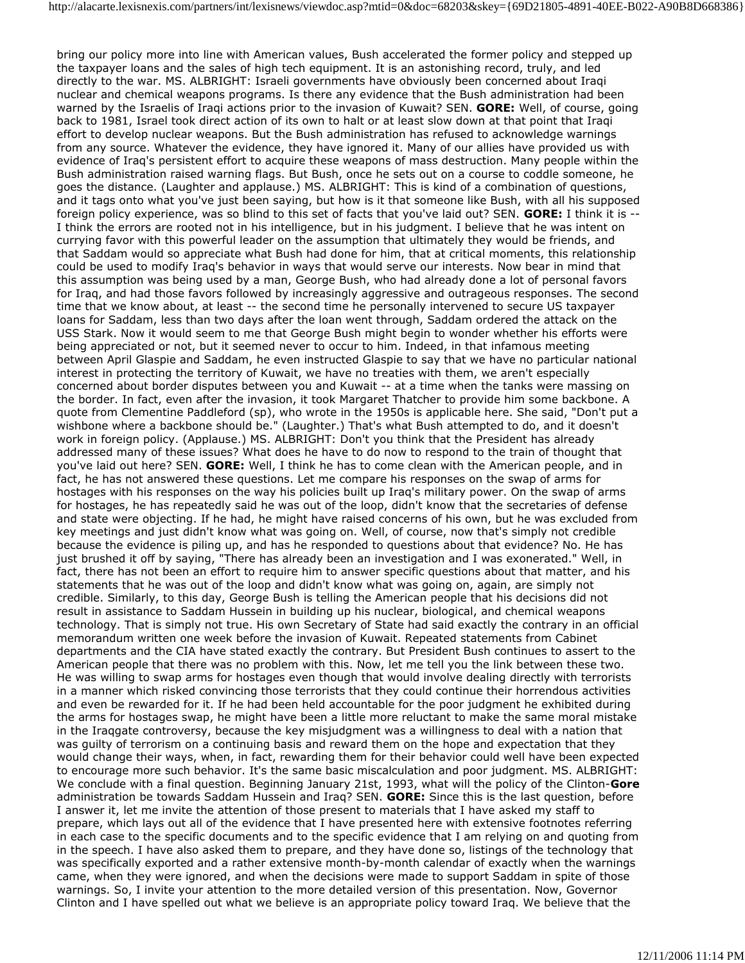bring our policy more into line with American values, Bush accelerated the former policy and stepped up the taxpayer loans and the sales of high tech equipment. It is an astonishing record, truly, and led directly to the war. MS. ALBRIGHT: Israeli governments have obviously been concerned about Iraqi nuclear and chemical weapons programs. Is there any evidence that the Bush administration had been warned by the Israelis of Iraqi actions prior to the invasion of Kuwait? SEN. GORE: Well, of course, going back to 1981, Israel took direct action of its own to halt or at least slow down at that point that Iraqi effort to develop nuclear weapons. But the Bush administration has refused to acknowledge warnings from any source. Whatever the evidence, they have ignored it. Many of our allies have provided us with evidence of Iraq's persistent effort to acquire these weapons of mass destruction. Many people within the Bush administration raised warning flags. But Bush, once he sets out on a course to coddle someone, he goes the distance. (Laughter and applause.) MS. ALBRIGHT: This is kind of a combination of questions, and it tags onto what you've just been saying, but how is it that someone like Bush, with all his supposed foreign policy experience, was so blind to this set of facts that you've laid out? SEN. GORE: I think it is --I think the errors are rooted not in his intelligence, but in his judgment. I believe that he was intent on currying favor with this powerful leader on the assumption that ultimately they would be friends, and that Saddam would so appreciate what Bush had done for him, that at critical moments, this relationship could be used to modify Iraq's behavior in ways that would serve our interests. Now bear in mind that this assumption was being used by a man, George Bush, who had already done a lot of personal favors for Iraq, and had those favors followed by increasingly aggressive and outrageous responses. The second time that we know about, at least -- the second time he personally intervened to secure US taxpayer loans for Saddam, less than two days after the loan went through, Saddam ordered the attack on the USS Stark. Now it would seem to me that George Bush might begin to wonder whether his efforts were being appreciated or not, but it seemed never to occur to him. Indeed, in that infamous meeting between April Glaspie and Saddam, he even instructed Glaspie to say that we have no particular national interest in protecting the territory of Kuwait, we have no treaties with them, we aren't especially concerned about border disputes between you and Kuwait -- at a time when the tanks were massing on the border. In fact, even after the invasion, it took Margaret Thatcher to provide him some backbone. A quote from Clementine Paddleford (sp), who wrote in the 1950s is applicable here. She said, "Don't put a wishbone where a backbone should be." (Laughter.) That's what Bush attempted to do, and it doesn't work in foreign policy. (Applause.) MS. ALBRIGHT: Don't you think that the President has already addressed many of these issues? What does he have to do now to respond to the train of thought that you've laid out here? SEN. GORE: Well, I think he has to come clean with the American people, and in fact, he has not answered these questions. Let me compare his responses on the swap of arms for hostages with his responses on the way his policies built up Iraq's military power. On the swap of arms for hostages, he has repeatedly said he was out of the loop, didn't know that the secretaries of defense and state were objecting. If he had, he might have raised concerns of his own, but he was excluded from key meetings and just didn't know what was going on. Well, of course, now that's simply not credible because the evidence is piling up, and has he responded to questions about that evidence? No. He has just brushed it off by saying, "There has already been an investigation and I was exonerated." Well, in fact, there has not been an effort to require him to answer specific questions about that matter, and his statements that he was out of the loop and didn't know what was going on, again, are simply not credible. Similarly, to this day, George Bush is telling the American people that his decisions did not result in assistance to Saddam Hussein in building up his nuclear, biological, and chemical weapons technology. That is simply not true. His own Secretary of State had said exactly the contrary in an official memorandum written one week before the invasion of Kuwait. Repeated statements from Cabinet departments and the CIA have stated exactly the contrary. But President Bush continues to assert to the American people that there was no problem with this. Now, let me tell you the link between these two. He was willing to swap arms for hostages even though that would involve dealing directly with terrorists in a manner which risked convincing those terrorists that they could continue their horrendous activities and even be rewarded for it. If he had been held accountable for the poor judgment he exhibited during the arms for hostages swap, he might have been a little more reluctant to make the same moral mistake in the Iraqgate controversy, because the key misjudgment was a willingness to deal with a nation that was guilty of terrorism on a continuing basis and reward them on the hope and expectation that they would change their ways, when, in fact, rewarding them for their behavior could well have been expected to encourage more such behavior. It's the same basic miscalculation and poor judgment. MS. ALBRIGHT: We conclude with a final question. Beginning January 21st, 1993, what will the policy of the Clinton-Gore administration be towards Saddam Hussein and Iraq? SEN. GORE: Since this is the last question, before I answer it, let me invite the attention of those present to materials that I have asked my staff to prepare, which lays out all of the evidence that I have presented here with extensive footnotes referring in each case to the specific documents and to the specific evidence that I am relying on and quoting from in the speech. I have also asked them to prepare, and they have done so, listings of the technology that was specifically exported and a rather extensive month-by-month calendar of exactly when the warnings came, when they were ignored, and when the decisions were made to support Saddam in spite of those warnings. So, I invite your attention to the more detailed version of this presentation. Now, Governor Clinton and I have spelled out what we believe is an appropriate policy toward Iraq. We believe that the